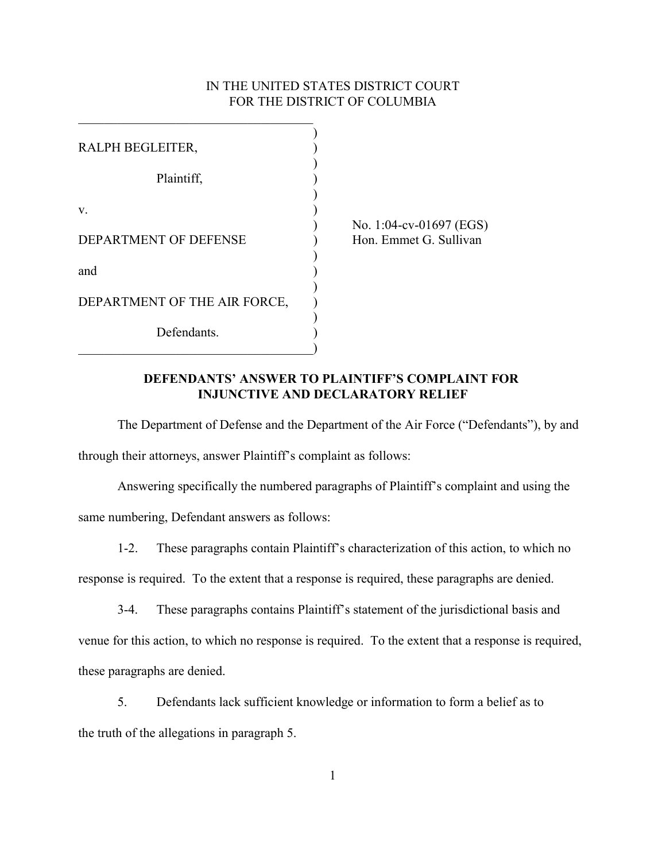## IN THE UNITED STATES DISTRICT COURT FOR THE DISTRICT OF COLUMBIA

| RALPH BEGLEITER,             |  |
|------------------------------|--|
|                              |  |
| Plaintiff,                   |  |
|                              |  |
| $V_{\cdot}$                  |  |
|                              |  |
| DEPARTMENT OF DEFENSE        |  |
|                              |  |
| and                          |  |
|                              |  |
| DEPARTMENT OF THE AIR FORCE, |  |
|                              |  |
| Defendants.                  |  |
|                              |  |

 $\mathcal{L}_\text{max}$ 

) No. 1:04-cv-01697 (EGS) Hon. Emmet G. Sullivan

## **DEFENDANTS' ANSWER TO PLAINTIFF'S COMPLAINT FOR INJUNCTIVE AND DECLARATORY RELIEF**

The Department of Defense and the Department of the Air Force ("Defendants"), by and through their attorneys, answer Plaintiff's complaint as follows:

Answering specifically the numbered paragraphs of Plaintiff's complaint and using the same numbering, Defendant answers as follows:

1-2. These paragraphs contain Plaintiff's characterization of this action, to which no response is required. To the extent that a response is required, these paragraphs are denied.

3-4. These paragraphs contains Plaintiff's statement of the jurisdictional basis and venue for this action, to which no response is required. To the extent that a response is required, these paragraphs are denied.

5. Defendants lack sufficient knowledge or information to form a belief as to the truth of the allegations in paragraph 5.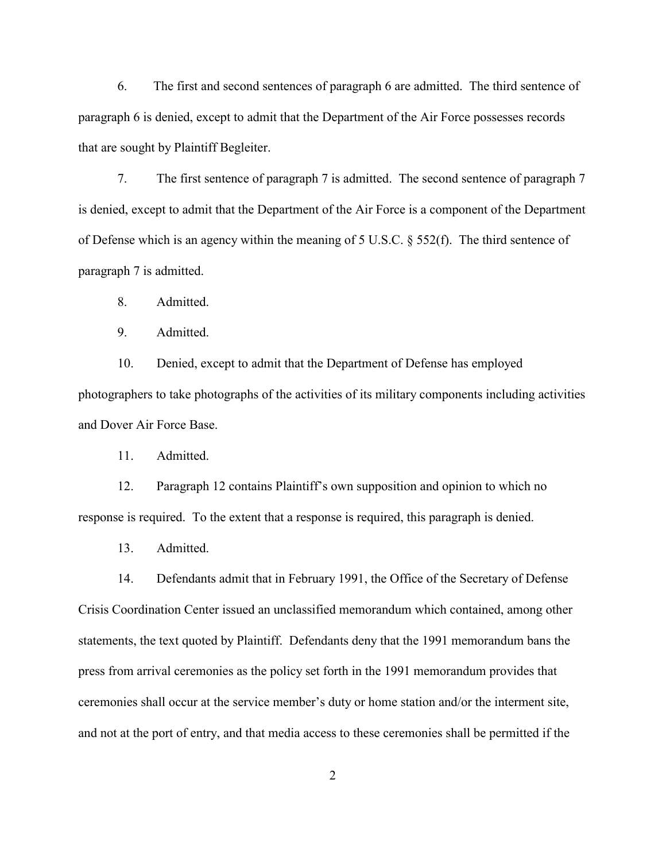6. The first and second sentences of paragraph 6 are admitted. The third sentence of paragraph 6 is denied, except to admit that the Department of the Air Force possesses records that are sought by Plaintiff Begleiter.

7. The first sentence of paragraph 7 is admitted. The second sentence of paragraph 7 is denied, except to admit that the Department of the Air Force is a component of the Department of Defense which is an agency within the meaning of 5 U.S.C. § 552(f). The third sentence of paragraph 7 is admitted.

8. Admitted.

9. Admitted.

10. Denied, except to admit that the Department of Defense has employed photographers to take photographs of the activities of its military components including activities and Dover Air Force Base.

11. Admitted.

12. Paragraph 12 contains Plaintiff's own supposition and opinion to which no response is required. To the extent that a response is required, this paragraph is denied.

13. Admitted.

14. Defendants admit that in February 1991, the Office of the Secretary of Defense Crisis Coordination Center issued an unclassified memorandum which contained, among other statements, the text quoted by Plaintiff. Defendants deny that the 1991 memorandum bans the press from arrival ceremonies as the policy set forth in the 1991 memorandum provides that ceremonies shall occur at the service member's duty or home station and/or the interment site, and not at the port of entry, and that media access to these ceremonies shall be permitted if the

2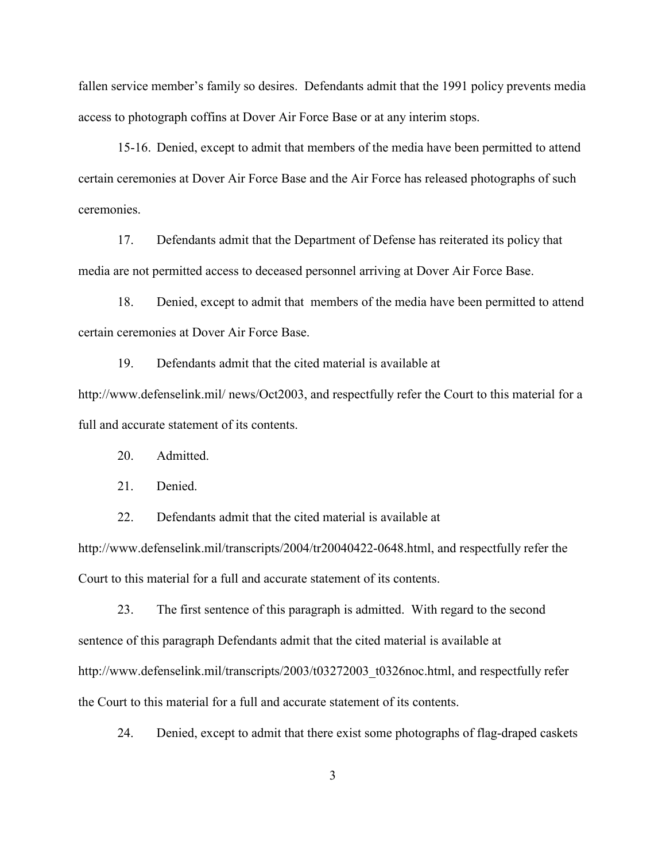fallen service member's family so desires. Defendants admit that the 1991 policy prevents media access to photograph coffins at Dover Air Force Base or at any interim stops.

15-16. Denied, except to admit that members of the media have been permitted to attend certain ceremonies at Dover Air Force Base and the Air Force has released photographs of such ceremonies.

17. Defendants admit that the Department of Defense has reiterated its policy that media are not permitted access to deceased personnel arriving at Dover Air Force Base.

18. Denied, except to admit that members of the media have been permitted to attend certain ceremonies at Dover Air Force Base.

19. Defendants admit that the cited material is available at http://www.defenselink.mil/ news/Oct2003, and respectfully refer the Court to this material for a full and accurate statement of its contents.

20. Admitted.

21. Denied.

22. Defendants admit that the cited material is available at

http://www.defenselink.mil/transcripts/2004/tr20040422-0648.html, and respectfully refer the Court to this material for a full and accurate statement of its contents.

23. The first sentence of this paragraph is admitted. With regard to the second sentence of this paragraph Defendants admit that the cited material is available at http://www.defenselink.mil/transcripts/2003/t03272003\_t0326noc.html, and respectfully refer the Court to this material for a full and accurate statement of its contents.

24. Denied, except to admit that there exist some photographs of flag-draped caskets

3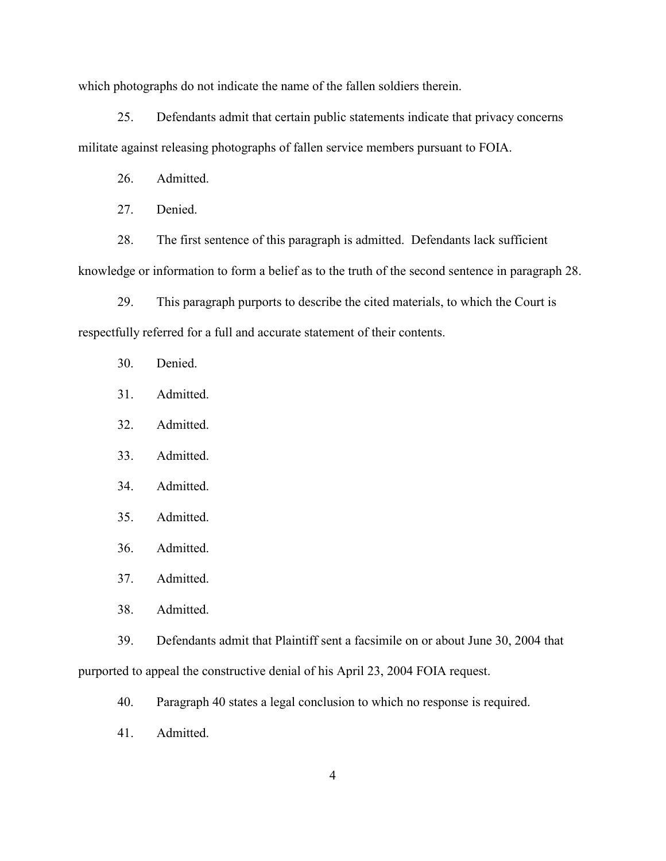which photographs do not indicate the name of the fallen soldiers therein.

25. Defendants admit that certain public statements indicate that privacy concerns militate against releasing photographs of fallen service members pursuant to FOIA.

26. Admitted.

27. Denied.

28. The first sentence of this paragraph is admitted. Defendants lack sufficient knowledge or information to form a belief as to the truth of the second sentence in paragraph 28.

29. This paragraph purports to describe the cited materials, to which the Court is respectfully referred for a full and accurate statement of their contents.

- 30. Denied.
- 31. Admitted.
- 32. Admitted.
- 33. Admitted.
- 34. Admitted.
- 35. Admitted.
- 36. Admitted.
- 37. Admitted.
- 38. Admitted.

39. Defendants admit that Plaintiff sent a facsimile on or about June 30, 2004 that purported to appeal the constructive denial of his April 23, 2004 FOIA request.

- 40. Paragraph 40 states a legal conclusion to which no response is required.
- 41. Admitted.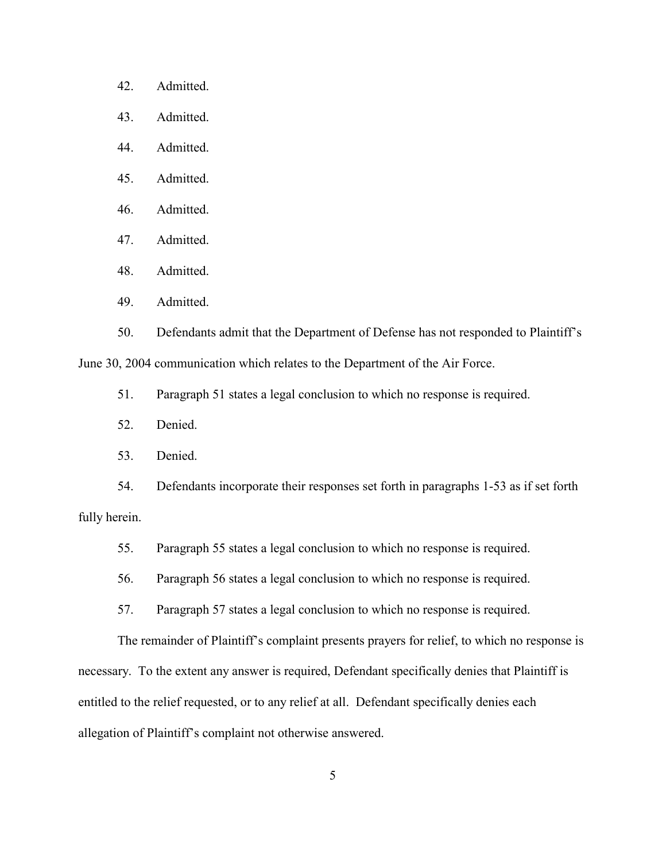- 42. Admitted.
- 43. Admitted.
- 44. Admitted.
- 45. Admitted.
- 46. Admitted.
- 47. Admitted.
- 48. Admitted.
- 49. Admitted.

50. Defendants admit that the Department of Defense has not responded to Plaintiff's

June 30, 2004 communication which relates to the Department of the Air Force.

- 51. Paragraph 51 states a legal conclusion to which no response is required.
- 52. Denied.
- 53. Denied.

54. Defendants incorporate their responses set forth in paragraphs 1-53 as if set forth fully herein.

- 55. Paragraph 55 states a legal conclusion to which no response is required.
- 56. Paragraph 56 states a legal conclusion to which no response is required.
- 57. Paragraph 57 states a legal conclusion to which no response is required.

The remainder of Plaintiff's complaint presents prayers for relief, to which no response is necessary. To the extent any answer is required, Defendant specifically denies that Plaintiff is entitled to the relief requested, or to any relief at all. Defendant specifically denies each allegation of Plaintiff's complaint not otherwise answered.